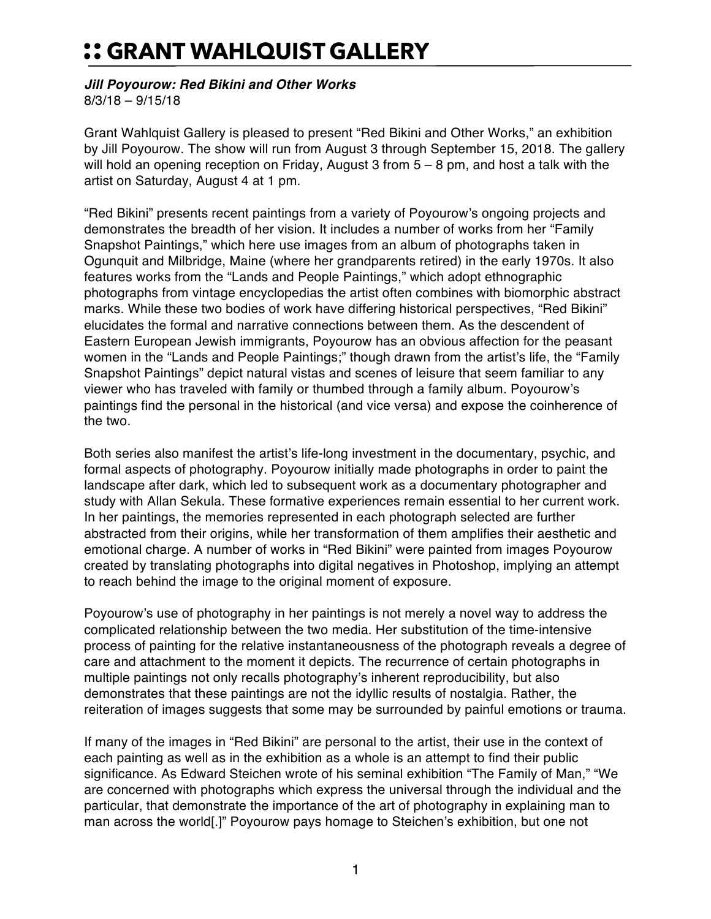## :: GRANT WAHLQUIST GALLERY

## *Jill Poyourow: Red Bikini and Other Works*

8/3/18 – 9/15/18

Grant Wahlquist Gallery is pleased to present "Red Bikini and Other Works," an exhibition by Jill Poyourow. The show will run from August 3 through September 15, 2018. The gallery will hold an opening reception on Friday, August 3 from 5 – 8 pm, and host a talk with the artist on Saturday, August 4 at 1 pm.

"Red Bikini" presents recent paintings from a variety of Poyourow's ongoing projects and demonstrates the breadth of her vision. It includes a number of works from her "Family Snapshot Paintings," which here use images from an album of photographs taken in Ogunquit and Milbridge, Maine (where her grandparents retired) in the early 1970s. It also features works from the "Lands and People Paintings," which adopt ethnographic photographs from vintage encyclopedias the artist often combines with biomorphic abstract marks. While these two bodies of work have differing historical perspectives, "Red Bikini" elucidates the formal and narrative connections between them. As the descendent of Eastern European Jewish immigrants, Poyourow has an obvious affection for the peasant women in the "Lands and People Paintings;" though drawn from the artist's life, the "Family Snapshot Paintings" depict natural vistas and scenes of leisure that seem familiar to any viewer who has traveled with family or thumbed through a family album. Poyourow's paintings find the personal in the historical (and vice versa) and expose the coinherence of the two.

Both series also manifest the artist's life-long investment in the documentary, psychic, and formal aspects of photography. Poyourow initially made photographs in order to paint the landscape after dark, which led to subsequent work as a documentary photographer and study with Allan Sekula. These formative experiences remain essential to her current work. In her paintings, the memories represented in each photograph selected are further abstracted from their origins, while her transformation of them amplifies their aesthetic and emotional charge. A number of works in "Red Bikini" were painted from images Poyourow created by translating photographs into digital negatives in Photoshop, implying an attempt to reach behind the image to the original moment of exposure.

Poyourow's use of photography in her paintings is not merely a novel way to address the complicated relationship between the two media. Her substitution of the time-intensive process of painting for the relative instantaneousness of the photograph reveals a degree of care and attachment to the moment it depicts. The recurrence of certain photographs in multiple paintings not only recalls photography's inherent reproducibility, but also demonstrates that these paintings are not the idyllic results of nostalgia. Rather, the reiteration of images suggests that some may be surrounded by painful emotions or trauma.

If many of the images in "Red Bikini" are personal to the artist, their use in the context of each painting as well as in the exhibition as a whole is an attempt to find their public significance. As Edward Steichen wrote of his seminal exhibition "The Family of Man," "We are concerned with photographs which express the universal through the individual and the particular, that demonstrate the importance of the art of photography in explaining man to man across the world[.]" Poyourow pays homage to Steichen's exhibition, but one not